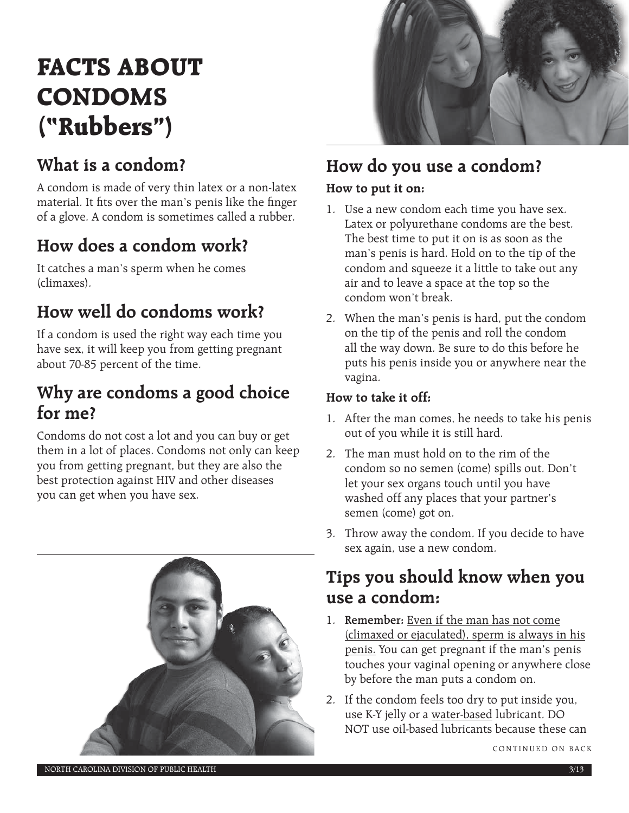# **FACTS ABOUT CONDOMS ("Rubbers")**

# **What is a condom?**

A condom is made of very thin latex or a non-latex material. It fits over the man's penis like the finger of a glove. A condom is sometimes called a rubber.

# **How does a condom work?**

It catches a man's sperm when he comes (climaxes).

# **How well do condoms work?**

If a condom is used the right way each time you have sex, it will keep you from getting pregnant about 70-85 percent of the time.

### **Why are condoms a good choice for me?**

Condoms do not cost a lot and you can buy or get them in a lot of places. Condoms not only can keep you from getting pregnant, but they are also the best protection against HIV and other diseases you can get when you have sex.





# **How do you use a condom?**

#### **How to put it on:**

- 1. Use a new condom each time you have sex. Latex or polyurethane condoms are the best. The best time to put it on is as soon as the man's penis is hard. Hold on to the tip of the condom and squeeze it a little to take out any air and to leave a space at the top so the condom won't break.
- 2. When the man's penis is hard, put the condom on the tip of the penis and roll the condom all the way down. Be sure to do this before he puts his penis inside you or anywhere near the vagina.

#### **How to take it off:**

- 1. After the man comes, he needs to take his penis out of you while it is still hard.
- 2. The man must hold on to the rim of the condom so no semen (come) spills out. Don't let your sex organs touch until you have washed off any places that your partner's semen (come) got on.
- 3. Throw away the condom. If you decide to have sex again, use a new condom.

### **Tips you should know when you use a condom:**

- 1. **Remember:** Even if the man has not come (climaxed or ejaculated), sperm is always in his penis. You can get pregnant if the man's penis touches your vaginal opening or anywhere close by before the man puts a condom on.
- 2. If the condom feels too dry to put inside you, use K-Y jelly or a water-based lubricant. DO NOT use oil-based lubricants because these can

CONTINUED ON BACK

NORTH CAROLINA DIVISION OF PUBLIC HEALTH 3/13